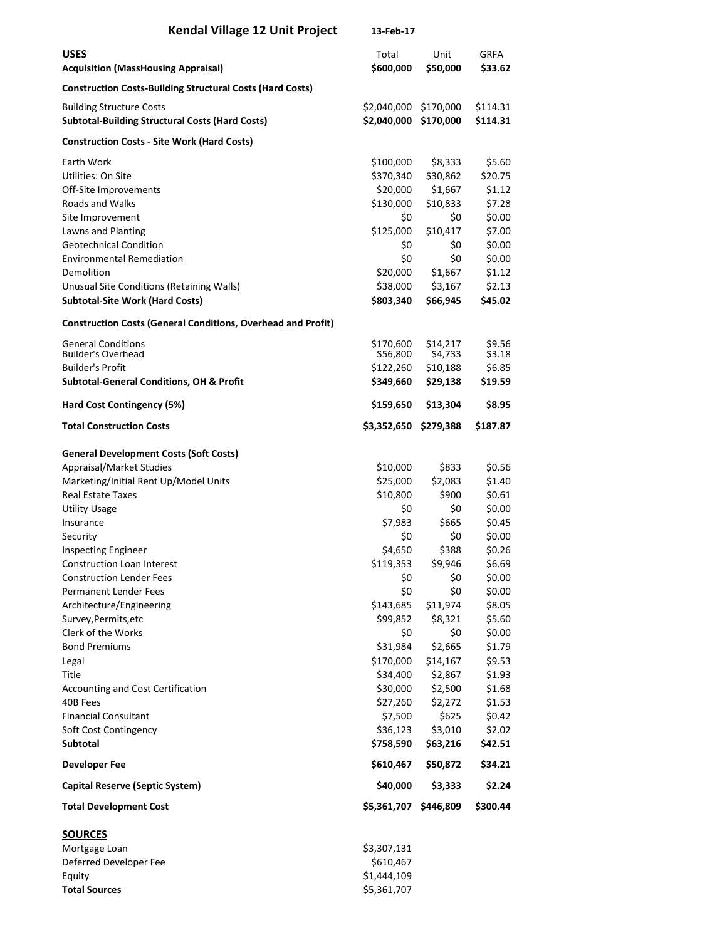| <b>Kendal Village 12 Unit Project</b>                                                     | 13-Feb-17                  |                        |                        |
|-------------------------------------------------------------------------------------------|----------------------------|------------------------|------------------------|
| <b>USES</b><br><b>Acquisition (MassHousing Appraisal)</b>                                 | Total<br>\$600,000         | Unit<br>\$50,000       | <b>GRFA</b><br>\$33.62 |
| <b>Construction Costs-Building Structural Costs (Hard Costs)</b>                          |                            |                        |                        |
| <b>Building Structure Costs</b><br><b>Subtotal-Building Structural Costs (Hard Costs)</b> | \$2,040,000<br>\$2,040,000 | \$170,000<br>\$170,000 | \$114.31<br>\$114.31   |
| <b>Construction Costs - Site Work (Hard Costs)</b>                                        |                            |                        |                        |
| Earth Work                                                                                | \$100,000                  | \$8,333                | \$5.60                 |
| Utilities: On Site                                                                        | \$370,340                  | \$30,862               | \$20.75                |
| Off-Site Improvements                                                                     | \$20,000                   | \$1,667                | \$1.12                 |
| <b>Roads and Walks</b>                                                                    | \$130,000                  | \$10,833               | \$7.28                 |
| Site Improvement                                                                          | \$0                        | \$0                    | \$0.00                 |
| Lawns and Planting                                                                        | \$125,000                  | \$10,417               | \$7.00                 |
| <b>Geotechnical Condition</b>                                                             | \$0                        | \$0                    | \$0.00                 |
| <b>Environmental Remediation</b>                                                          | \$0                        | \$0                    | \$0.00                 |
| Demolition                                                                                | \$20,000                   | \$1,667                | \$1.12                 |
| Unusual Site Conditions (Retaining Walls)                                                 | \$38,000                   | \$3,167                | \$2.13                 |
| <b>Subtotal-Site Work (Hard Costs)</b>                                                    | \$803,340                  | \$66,945               | \$45.02                |
| <b>Construction Costs (General Conditions, Overhead and Profit)</b>                       |                            |                        |                        |
| <b>General Conditions</b>                                                                 | \$170,600                  | \$14,217               | \$9.56                 |
| <b>Builder's Overhead</b>                                                                 | \$56,800                   | \$4,733                | \$3.18                 |
| <b>Builder's Profit</b>                                                                   | \$122,260                  | \$10,188               | \$6.85                 |
| <b>Subtotal-General Conditions, OH &amp; Profit</b>                                       | \$349,660                  | \$29,138               | \$19.59                |
| Hard Cost Contingency (5%)                                                                | \$159,650                  | \$13,304               | \$8.95                 |
| <b>Total Construction Costs</b>                                                           | \$3,352,650                | \$279,388              | \$187.87               |
| <b>General Development Costs (Soft Costs)</b>                                             |                            |                        |                        |
| Appraisal/Market Studies                                                                  | \$10,000                   | \$833                  | \$0.56                 |
| Marketing/Initial Rent Up/Model Units                                                     | \$25,000                   | \$2,083                | \$1.40                 |
| <b>Real Estate Taxes</b>                                                                  | \$10,800                   | \$900                  | \$0.61                 |
| <b>Utility Usage</b>                                                                      | \$0                        | \$0                    | \$0.00                 |
| Insurance                                                                                 | \$7,983                    | \$665                  | \$0.45                 |
| Security                                                                                  | \$0                        | \$0                    | \$0.00                 |
| <b>Inspecting Engineer</b>                                                                | \$4,650                    | \$388                  | \$0.26                 |
| <b>Construction Loan Interest</b>                                                         | \$119,353                  | \$9,946                | \$6.69                 |
| <b>Construction Lender Fees</b>                                                           | \$0                        | \$0                    | \$0.00                 |
| Permanent Lender Fees                                                                     | \$0<br>\$143,685           | \$0<br>\$11,974        | \$0.00<br>\$8.05       |
| Architecture/Engineering<br>Survey, Permits, etc                                          | \$99,852                   | \$8,321                | \$5.60                 |
| Clerk of the Works                                                                        | \$0                        | \$0                    | \$0.00                 |
| <b>Bond Premiums</b>                                                                      | \$31,984                   | \$2,665                | \$1.79                 |
| Legal                                                                                     | \$170,000                  | \$14,167               | \$9.53                 |
| Title                                                                                     | \$34,400                   | \$2,867                | \$1.93                 |
| <b>Accounting and Cost Certification</b>                                                  | \$30,000                   | \$2,500                | \$1.68                 |
| 40B Fees                                                                                  | \$27,260                   | \$2,272                | \$1.53                 |
| <b>Financial Consultant</b>                                                               | \$7,500                    | \$625                  | \$0.42                 |
| Soft Cost Contingency                                                                     | \$36,123                   | \$3,010                | \$2.02                 |
| <b>Subtotal</b>                                                                           | \$758,590                  | \$63,216               | \$42.51                |
| <b>Developer Fee</b>                                                                      | \$610,467                  | \$50,872               | \$34.21                |
| Capital Reserve (Septic System)                                                           | \$40,000                   | \$3,333                | \$2.24                 |
| <b>Total Development Cost</b>                                                             | \$5,361,707                | \$446,809              | \$300.44               |
| <b>SOURCES</b>                                                                            |                            |                        |                        |
| Mortgage Loan                                                                             | \$3,307,131                |                        |                        |
| Deferred Developer Fee                                                                    | \$610,467                  |                        |                        |
| Equity                                                                                    | \$1,444,109                |                        |                        |

**Total Sources**  $\frac{1}{2}$  \$5,361,707